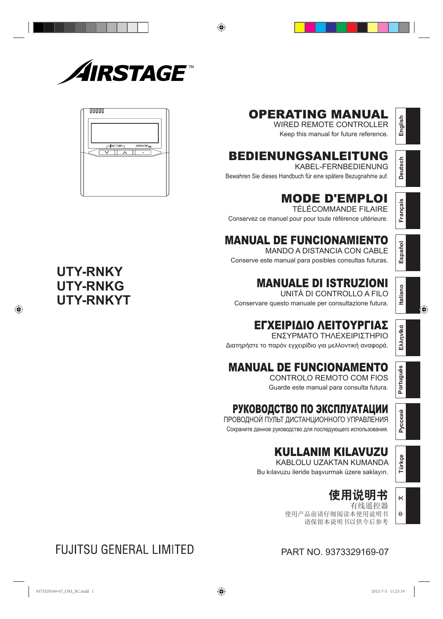

# 00000

# OPERATING MANUAL

WIRED REMOTE CONTROLLER Keep this manual for future reference.

# BEDIENUNGSANLEITUNG

KABEL-FERNBEDIENUNG Bewahren Sie dieses Handbuch für eine spätere Bezugnahme auf.

# MODE D'EMPLOI

TÉLÉCOMMANDE FILAIRE Conservez ce manuel pour pour toute référence ultérieure.

# MANUAL DE FUNCIONAMIENTO

MANDO A DISTANCIA CON CABLE Conserve este manual para posibles consultas futuras.

# MANUALE DI ISTRUZIONI

UNITÀ DI CONTROLLO A FILO Conservare questo manuale per consultazione futura.

# ΕΓΧΕΙΡΙΔΙΟ ΛΕΙΤΟΥΡΓΙΑΣ

ΕΝΣΥΡΜΑΤΟ ΤΗΛΕΧΕΙΡΙΣΤΗΡΙΟ Διατηρήστε το παρόν εγχειρίδιο για μελλοντική αναφορά.

# MANUAL DE FUNCIONAMENTO

CONTROLO REMOTO COM FIOS Guarde este manual para consulta futura.

# РУКОВОДСТВО ПО ЭКСПЛУАТАЦИИ

ПРОВОДНОЙ ПУЛЬТ ДИСТАНЦИОННОГО УПРАВЛЕНИЯ Сохраните данное руководство для последующего использования.

# KULLANIM KILAVUZU

KABLOLU UZAKTAN KUMANDA Bu kılavuzu ileride başvurmak üzere saklayın.

# 使用说明书

有线遥控器 使用产品前请仔细阅读本使用说明书 请保留本说明书以供今后参考 **Español**

**English**

**Deutsch**

**Français**

# **Italiano**

**EλληvIkά**

Português **Português**

**Русский**

**Türkçe**

 $\overline{\mathsf{K}}$ 

 $\pm$ 

PART NO. 9373329169-07

# **UTY-RNKY UTY-RNKG UTY-RNKYT**

**FUJITSU GENERAL LIMITED**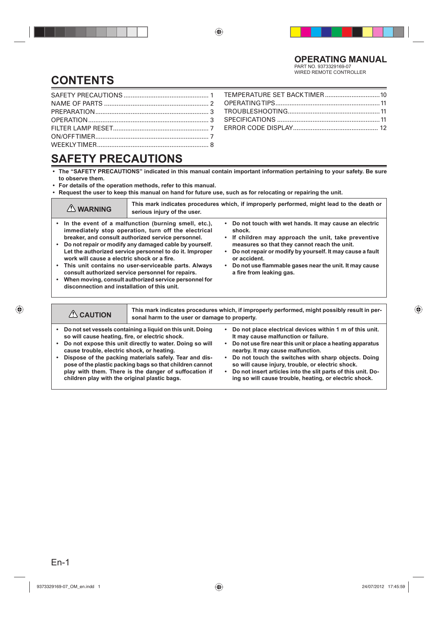WIRED REMOTE CONTROLLER

# **CONTENTS**

# **SAFETY PRECAUTIONS**

- **The "SAFETY PRECAUTIONS" indicated in this manual contain important information pertaining to your safety. Be sure to observe them.**
- **For details of the operation methods, refer to this manual.**
- **Request the user to keep this manual on hand for future use, such as for relocating or repairing the unit.**

| $\bigwedge$ WARNING                                                                                                                                                                                                                                                                                                                                                                                                                                                                                                                                                 | This mark indicates procedures which, if improperly performed, might lead to the death or<br>serious injury of the user. |                                                                                                                                                                                                                                                                                                                                                                        |  |  |
|---------------------------------------------------------------------------------------------------------------------------------------------------------------------------------------------------------------------------------------------------------------------------------------------------------------------------------------------------------------------------------------------------------------------------------------------------------------------------------------------------------------------------------------------------------------------|--------------------------------------------------------------------------------------------------------------------------|------------------------------------------------------------------------------------------------------------------------------------------------------------------------------------------------------------------------------------------------------------------------------------------------------------------------------------------------------------------------|--|--|
| • In the event of a malfunction (burning smell, etc.),<br>immediately stop operation, turn off the electrical<br>breaker, and consult authorized service personnel.<br>• Do not repair or modify any damaged cable by yourself.<br>Let the authorized service personnel to do it. Improper<br>work will cause a electric shock or a fire.<br>• This unit contains no user-serviceable parts. Always<br>consult authorized service personnel for repairs.<br>• When moving, consult authorized service personnel for<br>disconnection and installation of this unit. |                                                                                                                          | • Do not touch with wet hands. It may cause an electric<br>shock.<br>If children may approach the unit, take preventive<br>$\bullet$<br>measures so that they cannot reach the unit.<br>Do not repair or modify by yourself. It may cause a fault<br>$\bullet$<br>or accident.<br>• Do not use flammable gases near the unit. It may cause<br>a fire from leaking gas. |  |  |
|                                                                                                                                                                                                                                                                                                                                                                                                                                                                                                                                                                     |                                                                                                                          |                                                                                                                                                                                                                                                                                                                                                                        |  |  |
| This mark indicates procedures which, if improperly performed, might possibly result in per-<br>$\triangle$ CAUTION<br>sonal harm to the user or damage to property.                                                                                                                                                                                                                                                                                                                                                                                                |                                                                                                                          |                                                                                                                                                                                                                                                                                                                                                                        |  |  |
| • Do not set vessels containing a liquid on this unit. Doing<br>Do not place electrical devices within 1 m of this unit.<br>so will cause heating, fire, or electric shock.<br>It may cause malfunction or failure.                                                                                                                                                                                                                                                                                                                                                 |                                                                                                                          |                                                                                                                                                                                                                                                                                                                                                                        |  |  |

- **Do not expose this unit directly to water. Doing so will cause trouble, electric shock, or heating.**
- **Dispose of the packing materials safely. Tear and dispose of the plastic packing bags so that children cannot play with them. There is the danger of suffocation if children play with the original plastic bags.**
- **It may cause malfunction or failure. • Do not use fire near this unit or place a heating apparatus**
- **nearby. It may cause malfunction.**
- **Do not touch the switches with sharp objects. Doing so will cause injury, trouble, or electric shock.**
- **Do not insert articles into the slit parts of this unit. Doing so will cause trouble, heating, or electric shock.**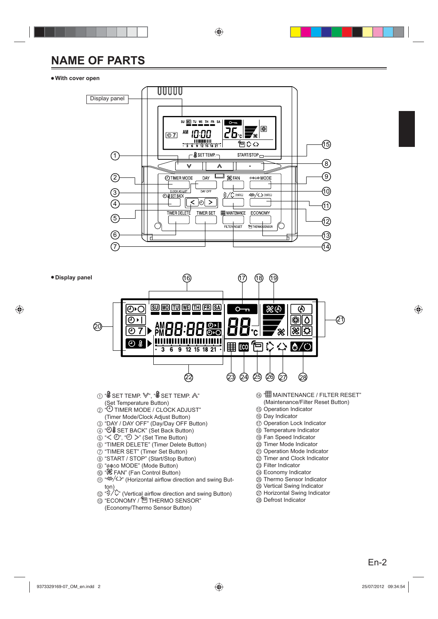# **NAME OF PARTS**

### ● **With cover open**



- $\overline{\textcircled{\scriptsize{n}}}$  Horizontal Swing Indicator
- <sup>®</sup> Defrost Indicator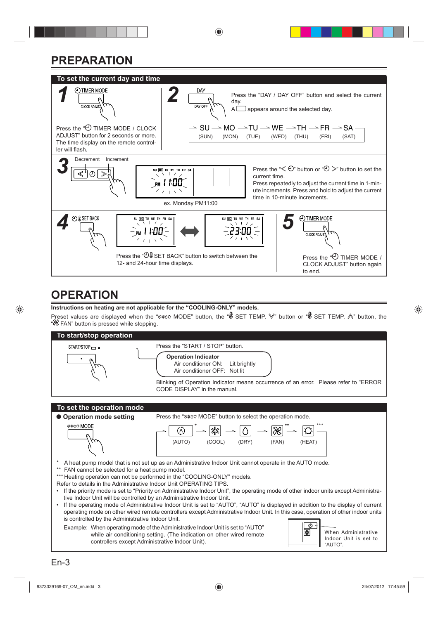# **PREPARATION**



# **OPERATION**

**Instructions on heating are not applicable for the "COOLING-ONLY" models.**

Preset values are displayed when the "%\*00 MODE" button, the " $\&$  SET TEMP.  $\&$ " button or " $\&$  SET TEMP.  $\&$ " button, the "<sup>88</sup> FAN" button is pressed while stopping.

![](_page_3_Figure_5.jpeg)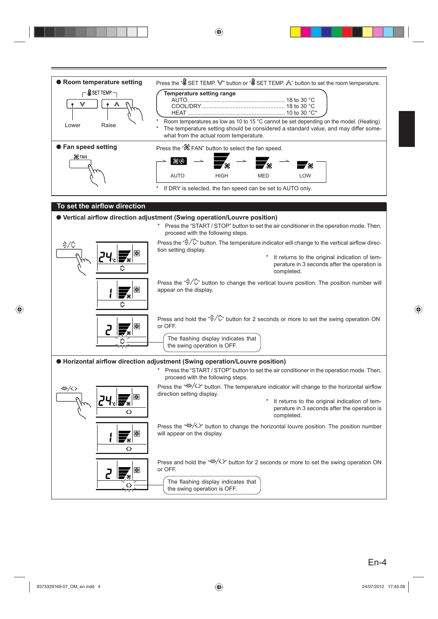![](_page_4_Figure_0.jpeg)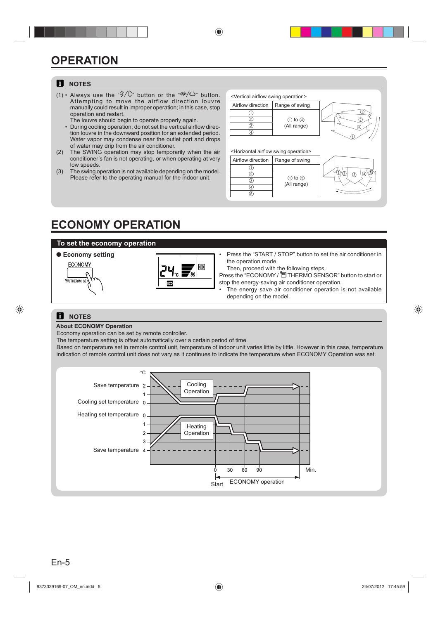# **OPERATION**

### **E** NOTES

- (1) Always use the " $\frac{1}{2}$ " button or the " $\frac{1}{2}$ " button. Attempting to move the airflow direction louvr manually could result in improper operation; in this case, stop operation and restart. The louvre should begin to operate properly again.
	- During cooling operation, do not set the vertical airflow dired tion louvre in the downward position for an extended period Water vapor may condense near the outlet port and drop of water may drip from the air conditioner.
- (2) The SWING operation may stop temporarily when the a conditioner's fan is not operating, or when operating at ver low speeds.
- (3) The swing operation is not available depending on the mode Please refer to the operating manual for the indoor unit.

| ٦.       | <vertical airflow="" operation="" swing=""></vertical>     |                |             |
|----------|------------------------------------------------------------|----------------|-------------|
| e<br>p   | Airflow direction                                          | Range of swing |             |
|          | 2)<br>3)                                                   | $(1)$ to $(4)$ | 2           |
| ၟ.<br>d. | $^{(4)}$                                                   | (All range)    |             |
| )S       |                                                            |                |             |
| ıir      | <horizontal airflow="" operation="" swing=""></horizontal> |                |             |
| Ŋ        | Airflow direction                                          | Range of swing |             |
| ۱.       | 2)                                                         |                | G<br>2<br>G |
|          | へ                                                          | to $(5)$       | 3           |

(All range)

## **ECONOMY OPERATION**

### **To set the economy operation**

### ● **Economy setting**

![](_page_5_Picture_10.jpeg)

![](_page_5_Figure_11.jpeg)

Press the "START / STOP" button to set the air conditioner in the operation mode.

Then, proceed with the following steps.

 $\overline{3}$  $\overline{\circ}$ 5

Press the "ECONOMY / □ THERMO SENSOR" button to start or stop the energy-saving air conditioner operation.

The energy save air conditioner operation is not available depending on the model.

### **E** NOTES

### **About ECONOMY Operation**

Economy operation can be set by remote controller.

The temperature setting is offset automatically over a certain period of time.

Based on temperature set in remote control unit, temperature of indoor unit varies little by little. However in this case, temperature indication of remote control unit does not vary as it continues to indicate the temperature when ECONOMY Operation was set.

![](_page_5_Figure_21.jpeg)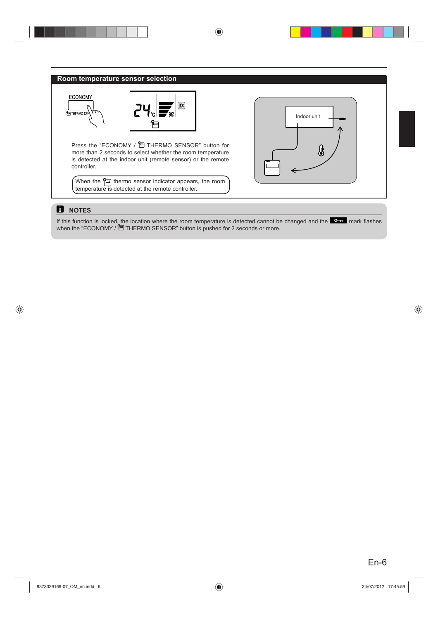### **Room temperature sensor selection**

![](_page_6_Figure_1.jpeg)

Press the "ECONOMY / 日 THERMO SENSOR" button for more than 2 seconds to select whether the room temperature is detected at the indoor unit (remote sensor) or the remote controller.

When the  $\leftarrow$  thermo sensor indicator appears, the room temperature is detected at the remote controller.

![](_page_6_Figure_4.jpeg)

### **NOTES**

If this function is locked, the location where the room temperature is detected cannot be changed and the  $\blacksquare$  mark flashes when the "ECONOMY / [C] THERMO SENSOR" button is pushed for 2 seconds or more.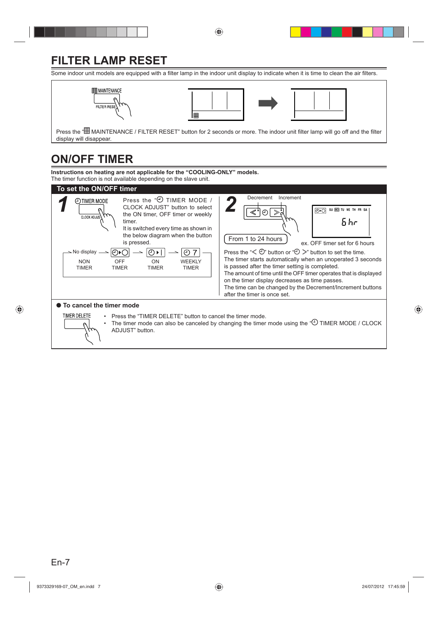# **FILTER LAMP RESET**

Some indoor unit models are equipped with a filter lamp in the indoor unit display to indicate when it is time to clean the air filters.

![](_page_7_Figure_2.jpeg)

![](_page_7_Figure_3.jpeg)

![](_page_7_Picture_4.jpeg)

Press the " 田 MAINTENANCE / FILTER RESET" button for 2 seconds or more. The indoor unit filter lamp will go off and the filter display will disappear.

# **ON/OFF TIMER**

**Instructions on heating are not applicable for the "COOLING-ONLY" models.** The timer function is not available depending on the slave unit.

![](_page_7_Figure_8.jpeg)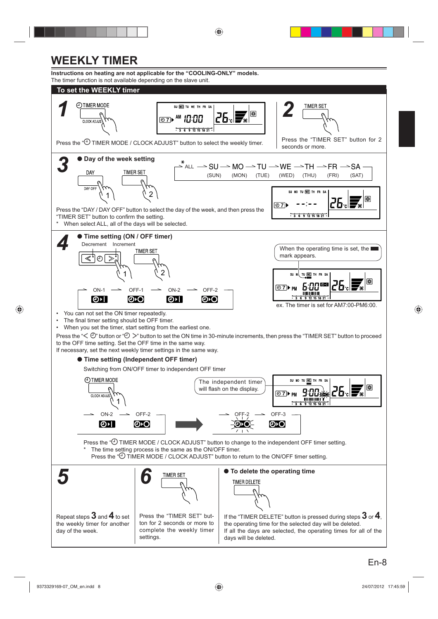# **WEEKLY TIMER**

**Instructions on heating are not applicable for the "COOLING-ONLY" models.** The timer function is not available depending on the slave unit.

![](_page_8_Figure_2.jpeg)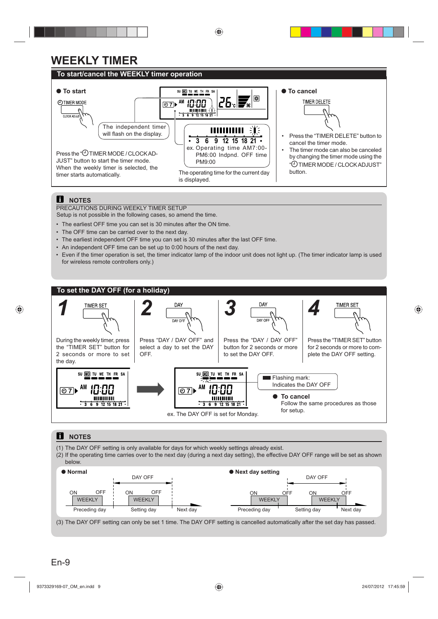# **WEEKLY TIMER**

### **To start/cancel the WEEKLY timer operation**

![](_page_9_Figure_2.jpeg)

### **E** NOTES

PRECAUTIONS DURING WEEKLY TIMER SETUP

Setup is not possible in the following cases, so amend the time.

- The earliest OFF time you can set is 30 minutes after the ON time.
- The OFF time can be carried over to the next day.
- The earliest independent OFF time you can set is 30 minutes after the last OFF time.
- An independent OFF time can be set up to 0:00 hours of the next day.
- Even if the timer operation is set, the timer indicator lamp of the indoor unit does not light up. (The timer indicator lamp is used for wireless remote controllers only.)

![](_page_9_Figure_11.jpeg)

### **R** NOTES

- (1) The DAY OFF setting is only available for days for which weekly settings already exist.
- (2) If the operating time carries over to the next day (during a next day setting), the effective DAY OFF range will be set as shown below.

![](_page_9_Figure_15.jpeg)

(3) The DAY OFF setting can only be set 1 time. The DAY OFF setting is cancelled automatically after the set day has passed.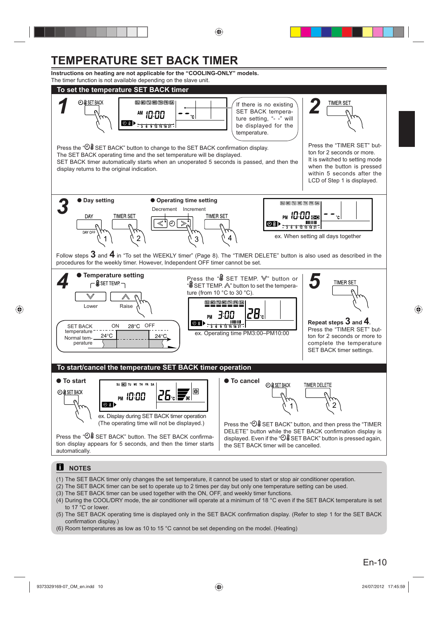# **TEMPERATURE SET BACK TIMER**

**Instructions on heating are not applicable for the "COOLING-ONLY" models.** The timer function is not available depending on the slave unit.

![](_page_10_Figure_2.jpeg)

- (2) The SET BACK timer can be set to operate up to 2 times per day but only one temperature setting can be used.
- (3) The SET BACK timer can be used together with the ON, OFF, and weekly timer functions.
- (4) During the COOL/DRY mode, the air conditioner will operate at a minimum of 18 °C even if the SET BACK temperature is set to 17 °C or lower.
- (5) The SET BACK operating time is displayed only in the SET BACK confirmation display. (Refer to step 1 for the SET BACK confirmation display.)
- (6) Room temperatures as low as 10 to 15 °C cannot be set depending on the model. (Heating)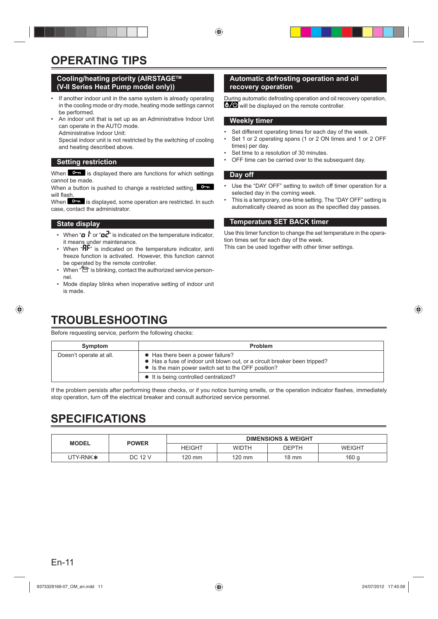# **OPERATING TIPS**

### **Cooling/heating priority (AIRSTAGETM (V-II Series Heat Pump model only))**

- If another indoor unit in the same system is already operating in the cooling mode or dry mode, heating mode settings cannot be performed.
- An indoor unit that is set up as an Administrative Indoor Unit can operate in the AUTO mode.

Administrative Indoor Unit:

 Special indoor unit is not restricted by the switching of cooling and heating described above.

### **Setting restriction**

When  $\bullet$  is displayed there are functions for which settings cannot be made.

When a button is pushed to change a restricted setting, will flash

When  $\Box$  is displayed, some operation are restricted. In such case, contact the administrator.

### **State display**

- When " $\mathbf{a}$   $\mathbf{r}'$  or " $\mathbf{a}$  $\mathbf{c}''$  is indicated on the temperature indicator. it means under maintenance.
- When  $H^{\mathbf{F}^n}$  is indicated on the temperature indicator, anti freeze function is activated. However, this function cannot be operated by the remote controller.
- When " $\Box$ " is blinking, contact the authorized service personnel.
- Mode display blinks when inoperative setting of indoor unit is made.

# **TROUBLESHOOTING**

Before requesting service, perform the following checks:

### **Automatic defrosting operation and oil recovery operation**

During automatic defrosting operation and oil recovery operation,  $\frac{1}{2}$  will be displayed on the remote controller.

### **Weekly timer**

- Set different operating times for each day of the week.
- Set 1 or 2 operating spans (1 or 2 ON times and 1 or 2 OFF times) per day.
- Set time to a resolution of 30 minutes.
- OFF time can be carried over to the subsequent day.

### **Day off**

- Use the "DAY OFF" setting to switch off timer operation for a selected day in the coming week.
- This is a temporary, one-time setting. The "DAY OFF" setting is automatically cleared as soon as the specified day passes.

### **Temperature SET BACK timer**

Use this timer function to change the set temperature in the operation times set for each day of the week.

This can be used together with other timer settings.

| Symptom                 | Problem                                                                                                                                                               |
|-------------------------|-----------------------------------------------------------------------------------------------------------------------------------------------------------------------|
| Doesn't operate at all. | • Has there been a power failure?<br>• Has a fuse of indoor unit blown out, or a circuit breaker been tripped?<br>• Is the main power switch set to the OFF position? |
|                         | • It is being controlled centralized?                                                                                                                                 |

If the problem persists after performing these checks, or if you notice burning smells, or the operation indicator flashes, immediately stop operation, turn off the electrical breaker and consult authorized service personnel.

# **SPECIFICATIONS**

| <b>MODEL</b>         | <b>POWER</b> | <b>DIMENSIONS &amp; WEIGHT</b> |              |                 |               |
|----------------------|--------------|--------------------------------|--------------|-----------------|---------------|
|                      |              | <b>HEIGHT</b>                  | <b>WIDTH</b> | <b>DEPTH</b>    | <b>WEIGHT</b> |
| UTY-RNK <sup>*</sup> | DC 12 V      | 120 mm                         | $120$ mm     | $18 \text{ mm}$ | 160 g         |